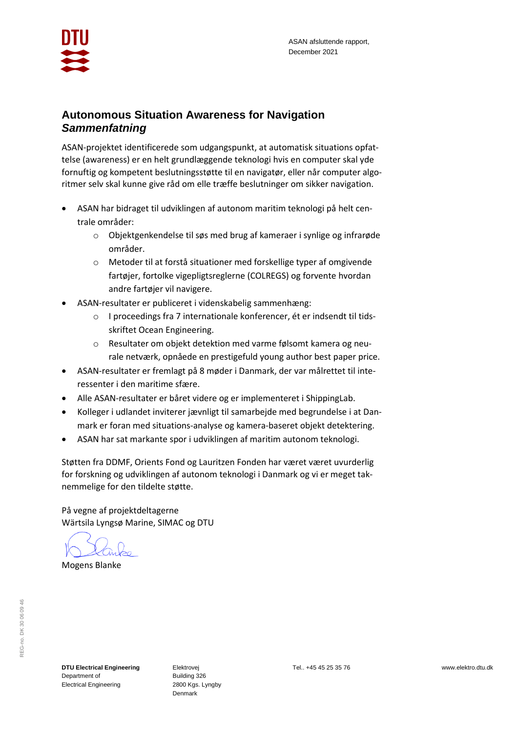

# **Autonomous Situation Awareness for Navigation** *Sammenfatning*

ASAN-projektet identificerede som udgangspunkt, at automatisk situations opfattelse (awareness) er en helt grundlæggende teknologi hvis en computer skal yde fornuftig og kompetent beslutningsstøtte til en navigatør, eller når computer algoritmer selv skal kunne give råd om elle træffe beslutninger om sikker navigation.

- ASAN har bidraget til udviklingen af autonom maritim teknologi på helt centrale områder:
	- o Objektgenkendelse til søs med brug af kameraer i synlige og infrarøde områder.
	- o Metoder til at forstå situationer med forskellige typer af omgivende fartøjer, fortolke vigepligtsreglerne (COLREGS) og forvente hvordan andre fartøjer vil navigere.
- ASAN-resultater er publiceret i videnskabelig sammenhæng:
	- o I proceedings fra 7 internationale konferencer, ét er indsendt til tidsskriftet Ocean Engineering.
	- o Resultater om objekt detektion med varme følsomt kamera og neurale netværk, opnåede en prestigefuld young author best paper price.
- ASAN-resultater er fremlagt på 8 møder i Danmark, der var målrettet til interessenter i den maritime sfære.
- Alle ASAN-resultater er båret videre og er implementeret i ShippingLab.
- Kolleger i udlandet inviterer jævnligt til samarbejde med begrundelse i at Danmark er foran med situations-analyse og kamera-baseret objekt detektering.
- ASAN har sat markante spor i udviklingen af maritim autonom teknologi.

Støtten fra DDMF, Orients Fond og Lauritzen Fonden har været været uvurderlig for forskning og udviklingen af autonom teknologi i Danmark og vi er meget taknemmelige for den tildelte støtte.

På vegne af projektdeltagerne Wärtsila Lyngsø Marine, SIMAC og DTU

Mogens Blanke

**DTU Electrical Engineering** Department of Electrical Engineering

Elektrovej Building 326 2800 Kgs. Lyngby Denmark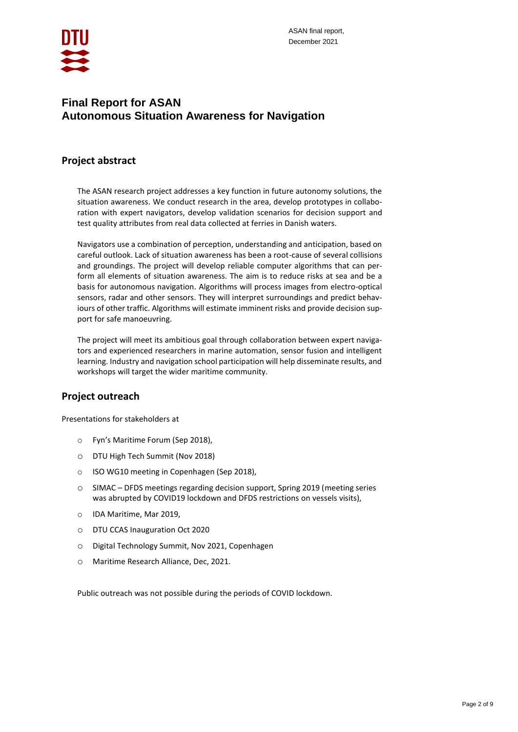

# **Final Report for ASAN Autonomous Situation Awareness for Navigation**

# **Project abstract**

The ASAN research project addresses a key function in future autonomy solutions, the situation awareness. We conduct research in the area, develop prototypes in collaboration with expert navigators, develop validation scenarios for decision support and test quality attributes from real data collected at ferries in Danish waters.

Navigators use a combination of perception, understanding and anticipation, based on careful outlook. Lack of situation awareness has been a root-cause of several collisions and groundings. The project will develop reliable computer algorithms that can perform all elements of situation awareness. The aim is to reduce risks at sea and be a basis for autonomous navigation. Algorithms will process images from electro-optical sensors, radar and other sensors. They will interpret surroundings and predict behaviours of other traffic. Algorithms will estimate imminent risks and provide decision support for safe manoeuvring.

The project will meet its ambitious goal through collaboration between expert navigators and experienced researchers in marine automation, sensor fusion and intelligent learning. Industry and navigation school participation will help disseminate results, and workshops will target the wider maritime community.

## **Project outreach**

Presentations for stakeholders at

- o Fyn's Maritime Forum (Sep 2018),
- o DTU High Tech Summit (Nov 2018)
- o ISO WG10 meeting in Copenhagen (Sep 2018),
- o SIMAC DFDS meetings regarding decision support, Spring 2019 (meeting series was abrupted by COVID19 lockdown and DFDS restrictions on vessels visits),
- o IDA Maritime, Mar 2019,
- o DTU CCAS Inauguration Oct 2020
- o Digital Technology Summit, Nov 2021, Copenhagen
- o Maritime Research Alliance, Dec, 2021.

Public outreach was not possible during the periods of COVID lockdown.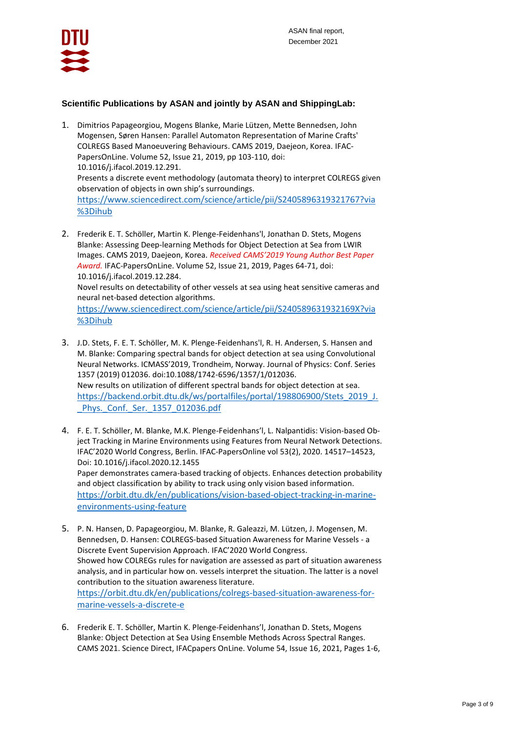

### **Scientific Publications by ASAN and jointly by ASAN and ShippingLab:**

- 1. Dimitrios Papageorgiou, Mogens Blanke, Marie Lützen, Mette Bennedsen, John Mogensen, Søren Hansen: Parallel Automaton Representation of Marine Crafts' COLREGS Based Manoeuvering Behaviours. CAMS 2019, Daejeon, Korea. [IFAC-](https://www.sciencedirect.com/science/journal/24058963)[PapersOnLine.](https://www.sciencedirect.com/science/journal/24058963) [Volume 52, Issue 21,](https://www.sciencedirect.com/science/journal/24058963/52/21) 2019, pp 103-110, doi: 10.1016/j.ifacol.2019.12.291. Presents a discrete event methodology (automata theory) to interpret COLREGS given observation of objects in own ship's surroundings. [https://www.sciencedirect.com/science/article/pii/S2405896319321767?via](https://www.sciencedirect.com/science/article/pii/S2405896319321767?via%3Dihub) [%3Dihub](https://www.sciencedirect.com/science/article/pii/S2405896319321767?via%3Dihub)
- 2. Frederik E. T. Schöller, Martin K. Plenge-Feidenhans'l, Jonathan D. Stets, Mogens Blanke: Assessing Deep-learning Methods for Object Detection at Sea from LWIR Images. CAMS 2019, Daejeon, Korea. *Received CAMS'2019 Young Author Best Paper Award.* [IFAC-PapersOnLine.](https://www.sciencedirect.com/science/journal/24058963) [Volume 52, Issue 21,](https://www.sciencedirect.com/science/journal/24058963/52/21) 2019, Pages 64-71, doi: [10.1016/j.ifacol.2019.12.284.](https://doi.org/10.1016/j.ifacol.2019.12.284) Novel results on detectability of other vessels at sea using heat sensitive cameras and neural net-based detection algorithms.

[https://www.sciencedirect.com/science/article/pii/S240589631932169X?via](https://www.sciencedirect.com/science/article/pii/S240589631932169X?via%3Dihub) [%3Dihub](https://www.sciencedirect.com/science/article/pii/S240589631932169X?via%3Dihub)

- 3. J.D. Stets, F. E. T. Schöller, M. K. Plenge-Feidenhans'l, R. H. Andersen, S. Hansen and M. Blanke: Comparing spectral bands for object detection at sea using Convolutional Neural Networks. ICMASS'2019, Trondheim, Norway. Journal of Physics: Conf. Series 1357 (2019) 012036. doi:10.1088/1742-6596/1357/1/012036. New results on utilization of different spectral bands for object detection at sea. [https://backend.orbit.dtu.dk/ws/portalfiles/portal/198806900/Stets\\_2019\\_J.](https://backend.orbit.dtu.dk/ws/portalfiles/portal/198806900/Stets_2019_J._Phys._Conf._Ser._1357_012036.pdf) [\\_Phys.\\_Conf.\\_Ser.\\_1357\\_012036.pdf](https://backend.orbit.dtu.dk/ws/portalfiles/portal/198806900/Stets_2019_J._Phys._Conf._Ser._1357_012036.pdf)
- 4. F. E. T. Schöller, M. Blanke, M.K. Plenge-Feidenhans'l, L. Nalpantidis: Vision-based Object Tracking in Marine Environments using Features from Neural Network Detections. IFAC'2020 World Congress, Berlin. IFAC-PapersOnline vol 53(2), 2020. 14517–14523, Doi: 10.1016/j.ifacol.2020.12.1455 Paper demonstrates camera-based tracking of objects. Enhances detection probability and object classification by ability to track using only vision based information. [https://orbit.dtu.dk/en/publications/vision-based-object-tracking-in-marine](https://orbit.dtu.dk/en/publications/vision-based-object-tracking-in-marine-environments-using-feature)[environments-using-feature](https://orbit.dtu.dk/en/publications/vision-based-object-tracking-in-marine-environments-using-feature)
- 5. P. N. Hansen, D. Papageorgiou, M. Blanke, R. Galeazzi, M. Lützen, J. Mogensen, M. Bennedsen, D. Hansen: COLREGS-based Situation Awareness for Marine Vessels - a Discrete Event Supervision Approach. IFAC'2020 World Congress. Showed how COLREGs rules for navigation are assessed as part of situation awareness analysis, and in particular how on. vessels interpret the situation. The latter is a novel contribution to the situation awareness literature. [https://orbit.dtu.dk/en/publications/colregs-based-situation-awareness-for](https://orbit.dtu.dk/en/publications/colregs-based-situation-awareness-for-marine-vessels-a-discrete-e)[marine-vessels-a-discrete-e](https://orbit.dtu.dk/en/publications/colregs-based-situation-awareness-for-marine-vessels-a-discrete-e)
- 6. Frederik E. T. Schöller, Martin K. Plenge-Feidenhans'l, Jonathan D. Stets, Mogens Blanke: Object Detection at Sea Using Ensemble Methods Across Spectral Ranges. CAMS 2021. Science Direct, IFACpapers OnLine. [Volume 54, Issue 16,](https://www.sciencedirect.com/science/journal/24058963/54/16) 2021, Pages 1-6,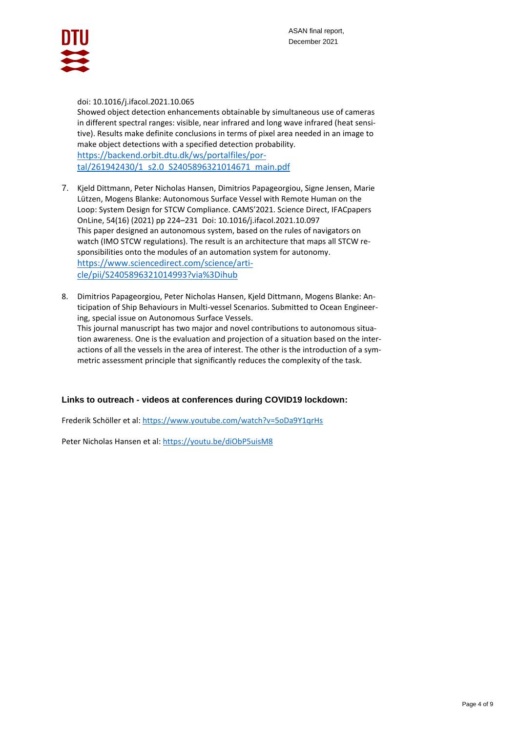

#### doi[: 10.1016/j.ifacol.2021.10.065](https://doi.org/10.1016/j.ifacol.2021.10.065)

Showed object detection enhancements obtainable by simultaneous use of cameras in different spectral ranges: visible, near infrared and long wave infrared (heat sensitive). Results make definite conclusions in terms of pixel area needed in an image to make object detections with a specified detection probability. [https://backend.orbit.dtu.dk/ws/portalfiles/por](https://backend.orbit.dtu.dk/ws/portalfiles/portal/261942430/1_s2.0_S2405896321014671_main.pdf)[tal/261942430/1\\_s2.0\\_S2405896321014671\\_main.pdf](https://backend.orbit.dtu.dk/ws/portalfiles/portal/261942430/1_s2.0_S2405896321014671_main.pdf)

- 7. Kjeld Dittmann, Peter Nicholas Hansen, Dimitrios Papageorgiou, Signe Jensen, Marie Lützen, Mogens Blanke: Autonomous Surface Vessel with Remote Human on the Loop: System Design for STCW Compliance. CAMS'2021. Science Direct, IFACpapers OnLine, 54(16) (2021) pp 224–231 Doi: [10.1016/j.ifacol.2021.10.097](https://doi.org/10.1016/j.ifacol.2021.10.097) This paper designed an autonomous system, based on the rules of navigators on watch (IMO STCW regulations). The result is an architecture that maps all STCW responsibilities onto the modules of an automation system for autonomy. [https://www.sciencedirect.com/science/arti](https://www.sciencedirect.com/science/article/pii/S2405896321014993?via%3Dihub)[cle/pii/S2405896321014993?via%3Dihub](https://www.sciencedirect.com/science/article/pii/S2405896321014993?via%3Dihub)
- 8. Dimitrios Papageorgiou, Peter Nicholas Hansen, Kjeld Dittmann, Mogens Blanke: Anticipation of Ship Behaviours in Multi-vessel Scenarios. Submitted to Ocean Engineering, special issue on Autonomous Surface Vessels.

This journal manuscript has two major and novel contributions to autonomous situation awareness. One is the evaluation and projection of a situation based on the interactions of all the vessels in the area of interest. The other is the introduction of a symmetric assessment principle that significantly reduces the complexity of the task.

#### **Links to outreach - videos at conferences during COVID19 lockdown:**

Frederik Schöller et al: <https://www.youtube.com/watch?v=5oDa9Y1qrHs>

Peter Nicholas Hansen et al: <https://youtu.be/diObP5uisM8>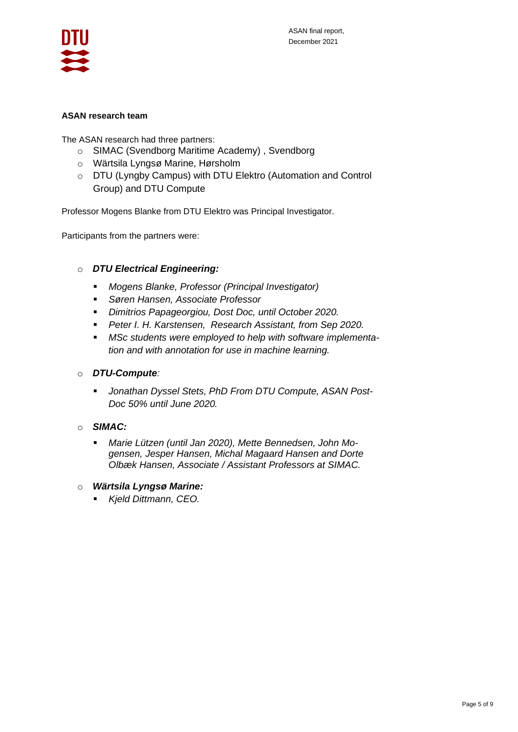

### **ASAN research team**

The ASAN research had three partners:

- o SIMAC (Svendborg Maritime Academy) , Svendborg
- o Wärtsila Lyngsø Marine, Hørsholm
- o DTU (Lyngby Campus) with DTU Elektro (Automation and Control Group) and DTU Compute

Professor Mogens Blanke from DTU Elektro was Principal Investigator.

Participants from the partners were:

## o *DTU Electrical Engineering:*

- *Mogens Blanke, Professor (Principal Investigator)*
- *Søren Hansen, Associate Professor*
- *Dimitrios Papageorgiou, Dost Doc, until October 2020.*
- *Peter I. H. Karstensen, Research Assistant, from Sep 2020.*
- *MSc students were employed to help with software implementation and with annotation for use in machine learning.*

## o *DTU-Compute:*

- *Jonathan Dyssel Stets, PhD From DTU Compute, ASAN Post-Doc 50% until June 2020.*
- o *SIMAC:* 
	- *Marie Lützen (until Jan 2020), Mette Bennedsen, John Mogensen, Jesper Hansen, Michal Magaard Hansen and Dorte Olbæk Hansen, Associate / Assistant Professors at SIMAC.*
- o *Wärtsila Lyngsø Marine:* 
	- *Kjeld Dittmann, CEO.*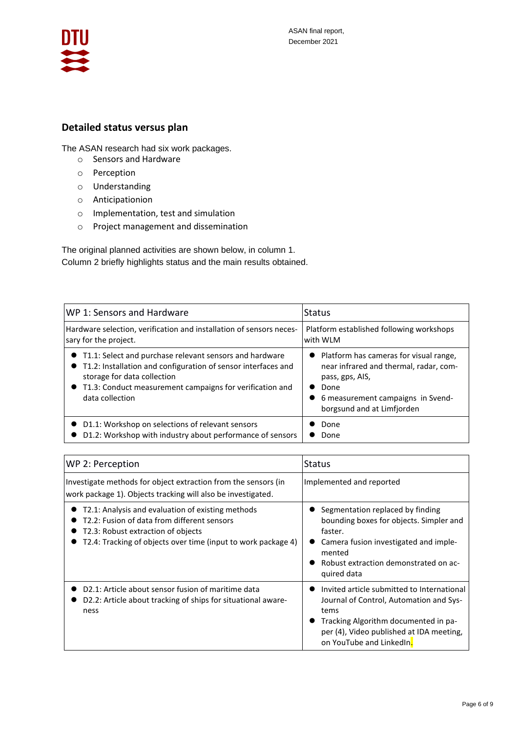

# **Detailed status versus plan**

The ASAN research had six work packages.

- o Sensors and Hardware
- o Perception
- o Understanding
- o Anticipationion
- o Implementation, test and simulation
- o Project management and dissemination

The original planned activities are shown below, in column 1. Column 2 briefly highlights status and the main results obtained.

| WP 1: Sensors and Hardware                                                                                                                                                                                                                   | <b>Status</b>                                                                                                                                                                    |
|----------------------------------------------------------------------------------------------------------------------------------------------------------------------------------------------------------------------------------------------|----------------------------------------------------------------------------------------------------------------------------------------------------------------------------------|
| Hardware selection, verification and installation of sensors neces-                                                                                                                                                                          | Platform established following workshops                                                                                                                                         |
| sary for the project.                                                                                                                                                                                                                        | with WLM                                                                                                                                                                         |
| • T1.1: Select and purchase relevant sensors and hardware<br>• T1.2: Installation and configuration of sensor interfaces and<br>storage for data collection<br>• T1.3: Conduct measurement campaigns for verification and<br>data collection | • Platform has cameras for visual range,<br>near infrared and thermal, radar, com-<br>pass, gps, AIS,<br>Done<br>6 measurement campaigns in Svend-<br>borgsund and at Limfjorden |
| D1.1: Workshop on selections of relevant sensors                                                                                                                                                                                             | Done                                                                                                                                                                             |
| D1.2: Workshop with industry about performance of sensors                                                                                                                                                                                    | Done                                                                                                                                                                             |

| WP 2: Perception                                                                                                                                                                                        | <b>Status</b>                                                                                                                                                                                                 |
|---------------------------------------------------------------------------------------------------------------------------------------------------------------------------------------------------------|---------------------------------------------------------------------------------------------------------------------------------------------------------------------------------------------------------------|
| Investigate methods for object extraction from the sensors (in<br>work package 1). Objects tracking will also be investigated.                                                                          | Implemented and reported                                                                                                                                                                                      |
| T2.1: Analysis and evaluation of existing methods<br>T2.2: Fusion of data from different sensors<br>T2.3: Robust extraction of objects<br>T2.4: Tracking of objects over time (input to work package 4) | • Segmentation replaced by finding<br>bounding boxes for objects. Simpler and<br>faster.<br>Camera fusion investigated and imple-<br>mented<br>Robust extraction demonstrated on ac-<br>quired data           |
| D2.1: Article about sensor fusion of maritime data<br>D2.2: Article about tracking of ships for situational aware-<br>ness                                                                              | Invited article submitted to International<br>Journal of Control, Automation and Sys-<br>tems<br>Tracking Algorithm documented in pa-<br>per (4), Video published at IDA meeting,<br>on YouTube and LinkedIn. |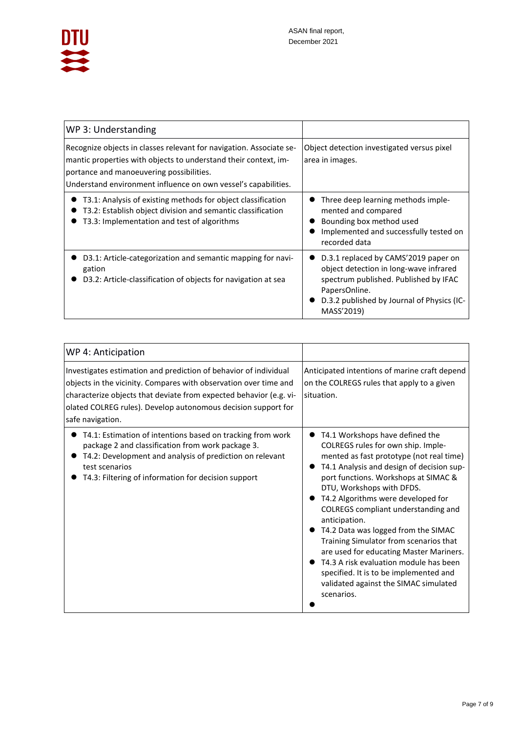

| WP 3: Understanding                                                                                                                                                                                                                                  |                                                                                                                                                                                                      |
|------------------------------------------------------------------------------------------------------------------------------------------------------------------------------------------------------------------------------------------------------|------------------------------------------------------------------------------------------------------------------------------------------------------------------------------------------------------|
| Recognize objects in classes relevant for navigation. Associate se-<br>mantic properties with objects to understand their context, im-<br>portance and manoeuvering possibilities.<br>Understand environment influence on own vessel's capabilities. | Object detection investigated versus pixel<br>area in images.                                                                                                                                        |
| T3.1: Analysis of existing methods for object classification<br>T3.2: Establish object division and semantic classification<br>T3.3: Implementation and test of algorithms                                                                           | Three deep learning methods imple-<br>mented and compared<br>Bounding box method used<br>Implemented and successfully tested on<br>recorded data                                                     |
| D3.1: Article-categorization and semantic mapping for navi-<br>gation<br>D3.2: Article-classification of objects for navigation at sea                                                                                                               | D.3.1 replaced by CAMS'2019 paper on<br>object detection in long-wave infrared<br>spectrum published. Published by IFAC<br>PapersOnline.<br>D.3.2 published by Journal of Physics (IC-<br>MASS'2019) |

| WP 4: Anticipation                                                                                                                                                                                                                                                                              |                                                                                                                                                                                                                                                                                                                                                                                                                                                                                                                                                                                                          |
|-------------------------------------------------------------------------------------------------------------------------------------------------------------------------------------------------------------------------------------------------------------------------------------------------|----------------------------------------------------------------------------------------------------------------------------------------------------------------------------------------------------------------------------------------------------------------------------------------------------------------------------------------------------------------------------------------------------------------------------------------------------------------------------------------------------------------------------------------------------------------------------------------------------------|
| Investigates estimation and prediction of behavior of individual<br>objects in the vicinity. Compares with observation over time and<br>characterize objects that deviate from expected behavior (e.g. vi-<br>olated COLREG rules). Develop autonomous decision support for<br>safe navigation. | Anticipated intentions of marine craft depend<br>on the COLREGS rules that apply to a given<br>situation.                                                                                                                                                                                                                                                                                                                                                                                                                                                                                                |
| T4.1: Estimation of intentions based on tracking from work<br>package 2 and classification from work package 3.<br>T4.2: Development and analysis of prediction on relevant<br>test scenarios<br>T4.3: Filtering of information for decision support                                            | T4.1 Workshops have defined the<br>COLREGS rules for own ship. Imple-<br>mented as fast prototype (not real time)<br>T4.1 Analysis and design of decision sup-<br>port functions. Workshops at SIMAC &<br>DTU, Workshops with DFDS.<br>T4.2 Algorithms were developed for<br>COLREGS compliant understanding and<br>anticipation.<br>T4.2 Data was logged from the SIMAC<br>Training Simulator from scenarios that<br>are used for educating Master Mariners.<br>T4.3 A risk evaluation module has been<br>specified. It is to be implemented and<br>validated against the SIMAC simulated<br>scenarios. |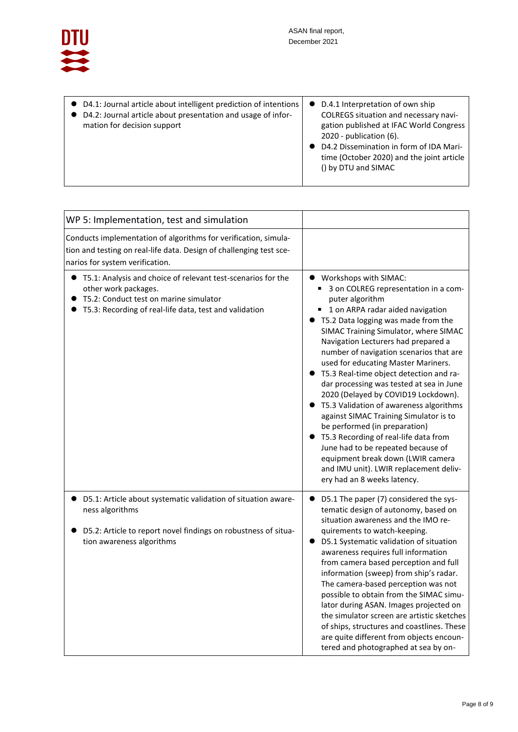

| ● D4.1: Journal article about intelligent prediction of intentions<br>● D4.2: Journal article about presentation and usage of infor-<br>mation for decision support | • D.4.1 Interpretation of own ship<br>COLREGS situation and necessary navi-<br>gation published at IFAC World Congress<br>$2020$ - publication $(6)$ .<br>D4.2 Dissemination in form of IDA Mari-<br>time (October 2020) and the joint article<br>() by DTU and SIMAC |
|---------------------------------------------------------------------------------------------------------------------------------------------------------------------|-----------------------------------------------------------------------------------------------------------------------------------------------------------------------------------------------------------------------------------------------------------------------|
|---------------------------------------------------------------------------------------------------------------------------------------------------------------------|-----------------------------------------------------------------------------------------------------------------------------------------------------------------------------------------------------------------------------------------------------------------------|

| WP 5: Implementation, test and simulation                                                                                                                                                  |                                                                                                                                                                                                                                                                                                                                                                                                                                                                                                                                                                                                                                                                                                                                                                                          |
|--------------------------------------------------------------------------------------------------------------------------------------------------------------------------------------------|------------------------------------------------------------------------------------------------------------------------------------------------------------------------------------------------------------------------------------------------------------------------------------------------------------------------------------------------------------------------------------------------------------------------------------------------------------------------------------------------------------------------------------------------------------------------------------------------------------------------------------------------------------------------------------------------------------------------------------------------------------------------------------------|
| Conducts implementation of algorithms for verification, simula-<br>tion and testing on real-life data. Design of challenging test sce-<br>narios for system verification.                  |                                                                                                                                                                                                                                                                                                                                                                                                                                                                                                                                                                                                                                                                                                                                                                                          |
| • T5.1: Analysis and choice of relevant test-scenarios for the<br>other work packages.<br>T5.2: Conduct test on marine simulator<br>T5.3: Recording of real-life data, test and validation | • Workshops with SIMAC:<br>■ 3 on COLREG representation in a com-<br>puter algorithm<br>■ 1 on ARPA radar aided navigation<br>• T5.2 Data logging was made from the<br>SIMAC Training Simulator, where SIMAC<br>Navigation Lecturers had prepared a<br>number of navigation scenarios that are<br>used for educating Master Mariners.<br>• T5.3 Real-time object detection and ra-<br>dar processing was tested at sea in June<br>2020 (Delayed by COVID19 Lockdown).<br>T5.3 Validation of awareness algorithms<br>against SIMAC Training Simulator is to<br>be performed (in preparation)<br>T5.3 Recording of real-life data from<br>June had to be repeated because of<br>equipment break down (LWIR camera<br>and IMU unit). LWIR replacement deliv-<br>ery had an 8 weeks latency. |
| D5.1: Article about systematic validation of situation aware-<br>ness algorithms<br>D5.2: Article to report novel findings on robustness of situa-<br>tion awareness algorithms            | D5.1 The paper (7) considered the sys-<br>tematic design of autonomy, based on<br>situation awareness and the IMO re-<br>quirements to watch-keeping.<br>D5.1 Systematic validation of situation<br>$\bullet$<br>awareness requires full information<br>from camera based perception and full<br>information (sweep) from ship's radar.<br>The camera-based perception was not<br>possible to obtain from the SIMAC simu-<br>lator during ASAN. Images projected on<br>the simulator screen are artistic sketches<br>of ships, structures and coastlines. These<br>are quite different from objects encoun-<br>tered and photographed at sea by on-                                                                                                                                      |